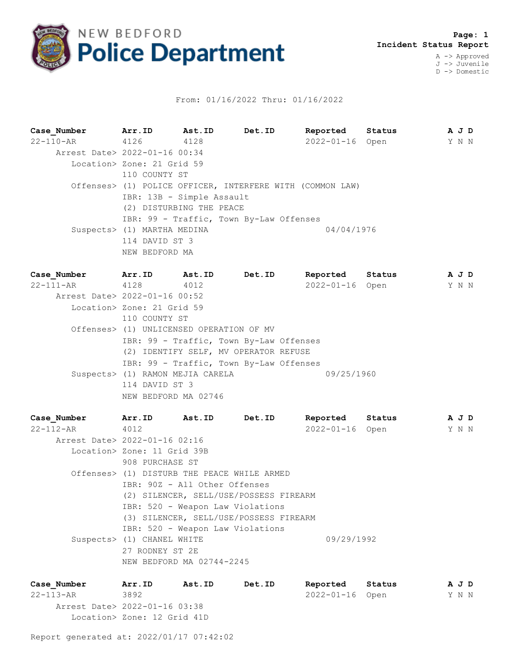

## From: 01/16/2022 Thru: 01/16/2022

**Case\_Number Arr.ID Ast.ID Det.ID Reported Status A J D** 22-110-AR 4126 4128 2022-01-16 Open Y N N Arrest Date> 2022-01-16 00:34 Location> Zone: 21 Grid 59 110 COUNTY ST Offenses> (1) POLICE OFFICER, INTERFERE WITH (COMMON LAW) IBR: 13B - Simple Assault (2) DISTURBING THE PEACE IBR: 99 - Traffic, Town By-Law Offenses Suspects> (1) MARTHA MEDINA  $04/04/1976$  114 DAVID ST 3 NEW BEDFORD MA

**Case\_Number Arr.ID Ast.ID Det.ID Reported Status A J D** 22-111-AR 4128 4012 2022-01-16 Open Y N N Arrest Date> 2022-01-16 00:52 Location> Zone: 21 Grid 59 110 COUNTY ST Offenses> (1) UNLICENSED OPERATION OF MV IBR: 99 - Traffic, Town By-Law Offenses (2) IDENTIFY SELF, MV OPERATOR REFUSE IBR: 99 - Traffic, Town By-Law Offenses Suspects> (1) RAMON MEJIA CARELA 09/25/1960 114 DAVID ST 3 NEW BEDFORD MA 02746

**Case\_Number Arr.ID Ast.ID Det.ID Reported Status A J D** 22-112-AR 4012 2022-01-16 Open Y N N Arrest Date> 2022-01-16 02:16 Location> Zone: 11 Grid 39B 908 PURCHASE ST Offenses> (1) DISTURB THE PEACE WHILE ARMED IBR: 90Z - All Other Offenses (2) SILENCER, SELL/USE/POSSESS FIREARM IBR: 520 - Weapon Law Violations (3) SILENCER, SELL/USE/POSSESS FIREARM IBR: 520 - Weapon Law Violations Suspects> (1) CHANEL WHITE 09/29/1992 27 RODNEY ST 2E NEW BEDFORD MA 02744-2245

**Case\_Number Arr.ID Ast.ID Det.ID Reported Status A J D** 22-113-AR 3892 2022-01-16 Open Y N N Arrest Date> 2022-01-16 03:38 Location> Zone: 12 Grid 41D